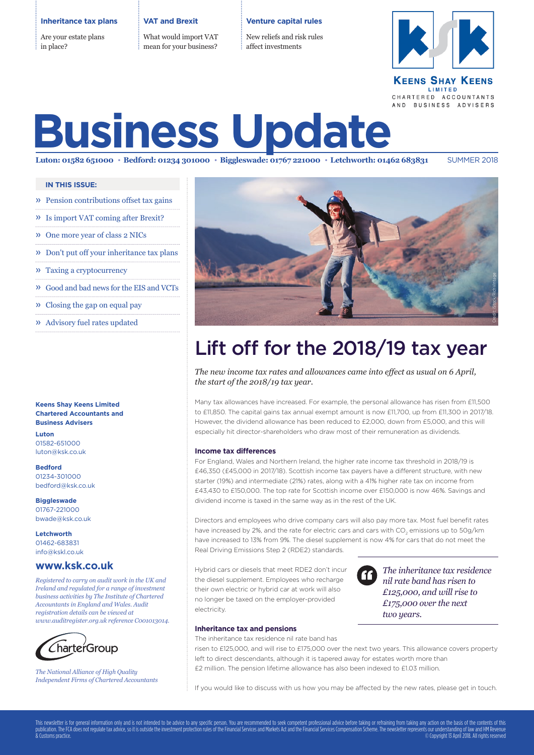#### **Inheritance tax plans**

Are your estate plans in place?

#### **VAT and Brexit**

What would import VAT mean for your business?

#### **Venture capital rules**

New reliefs and risk rules affect investments



#### **KEENS SHAY KEENS** LIMITED CHARTERED ACCOUNTANTS AND BUSINESS ADVISERS

# **Business Update**

Luton: 01582 651000 · Bedford: 01234 301000 · Biggleswade: 01767 221000 · Letchworth: 01462 683831 SUMMER 2018

#### **IN THIS ISSUE:**

- » Pension contributions offset tax gains
- » Is import VAT coming after Brexit?
- » One more year of class 2 NICs
- » Don't put off your inheritance tax plans
- » Taxing a cryptocurrency
- » Good and bad news for the EIS and VCTs
- » Closing the gap on equal pay
- » Advisory fuel rates updated

### **Chartered Accountants and Business Advisers**

**Luton** 01582-651000 luton@ksk.co.uk

**Bedford** 01234-301000 bedford@ksk.co.uk

**Biggleswade** 01767-221000 bwade@ksk.co.uk

**Letchworth** 01462-683831 info@kskl.co.uk

#### **www.ksk.co.uk**

*Registered to carry on audit work in the UK and Ireland and regulated for a range of investment business activities by The Institute of Chartered Accountants in England and Wales. Audit registration details can be viewed at www.auditregister.org.uk reference C001013014.*



*The National Alliance of High Quality Independent Firms of Chartered Accountants*



## Lift off for the 2018/19 tax year

*The new income tax rates and allowances came into effect as usual on 6 April, the start of the 2018/19 tax year.* 

Many tax allowances have increased. For example, the personal allowance has risen from £11,500 to £11,850. The capital gains tax annual exempt amount is now £11,700, up from £11,300 in 2017/18. However, the dividend allowance has been reduced to £2,000, down from £5,000, and this will especially hit director-shareholders who draw most of their remuneration as dividends.

#### **Income tax differences**

**Keens Shay Keens Limited** Manual Memorial Constrained Memorial Constrained Memorial Constrained Memorial Constrained Memorial Constrained Memorial Constrained Memorial Constrained Memorial Constrained Memorial Constraine For England, Wales and Northern Ireland, the higher rate income tax threshold in 2018/19 is £46,350 (£45,000 in 2017/18). Scottish income tax payers have a different structure, with new starter (19%) and intermediate (21%) rates, along with a 41% higher rate tax on income from £43,430 to £150,000. The top rate for Scottish income over £150,000 is now 46%. Savings and dividend income is taxed in the same way as in the rest of the UK.

Directors and employees who drive company cars will also pay more tax. Most fuel benefit rates have increased by 2%, and the rate for electric cars and cars with CO<sub>2</sub> emissions up to 50g/km have increased to 13% from 9%. The diesel supplement is now 4% for cars that do not meet the Real Driving Emissions Step 2 (RDE2) standards.

Hybrid cars or diesels that meet RDE2 don't incur the diesel supplement. Employees who recharge their own electric or hybrid car at work will also no longer be taxed on the employer-provided electricity.



*The inheritance tax residence nil rate band has risen to £125,000, and will rise to £175,000 over the next two years.*

#### **Inheritance tax and pensions**

The inheritance tax residence nil rate band has

risen to £125,000, and will rise to £175,000 over the next two years. This allowance covers property left to direct descendants, although it is tapered away for estates worth more than £2 million. The pension lifetime allowance has also been indexed to £1.03 million.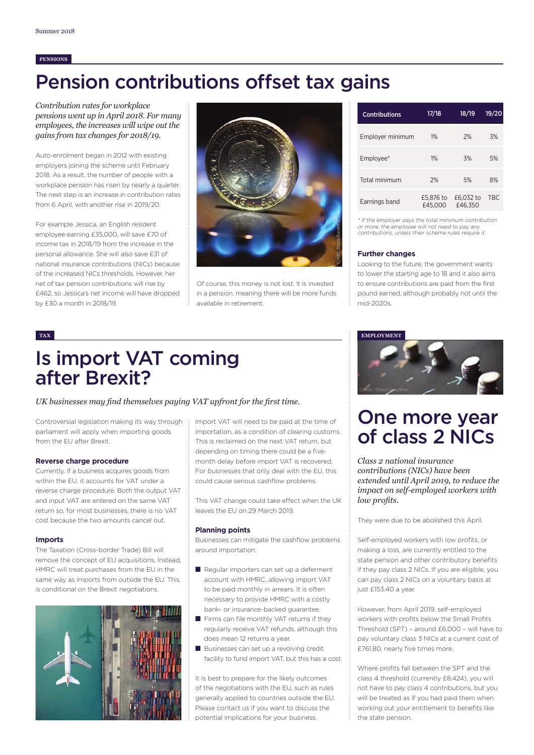#### **PENSIONS**

# Pension contributions offset tax gains

*Contribution rates for workplace pensions went up in April 2018. For many employees, the increases will wipe out the gains from tax changes for 2018/19.*

Auto-enrolment began in 2012 with existing employers joining the scheme until February 2018. As a result, the number of people with a workplace pension has risen by nearly a quarter. The next step is an increase in contribution rates from 6 April, with another rise in 2019/20.

For example Jessica, an English resident employee earning £35,000, will save £70 of income tax in 2018/19 from the increase in the personal allowance. She will also save £31 of national insurance contributions (NICs) because of the increased NICs thresholds. However, her net of tax pension contributions will rise by £462, so Jessica's net income will have dropped by £30 a month in 2018/19.



Of course, this money is not lost. It is invested in a pension, meaning there will be more funds available in retirement.

| <b>Contributions</b> | 17/18                | 18/19                | 19/20      |
|----------------------|----------------------|----------------------|------------|
| Employer minimum     | 1%                   | 2%                   | 3%         |
| Employee*            | 1%                   | 3%                   | 5%         |
| Total minimum        | 2%                   | 5%                   | 8%         |
| Earnings band        | £5,876 to<br>£45,000 | £6,032 to<br>£46.350 | <b>TBC</b> |

\* If the employer pays the total minimum contribution or more, the employee will not need to pay any contributions, unless their scheme rules require it.

#### **Further changes**

Looking to the future, the government wants to lower the starting age to 18 and it also aims to ensure contributions are paid from the first pound earned, although probably not until the mid-2020s.

### Is import VAT coming after Brexit?

*UK businesses may find themselves paying VAT upfront for the first time.* 

Controversial legislation making its way through parliament will apply when importing goods from the EU after Brexit.

#### **Reverse charge procedure**

Currently, if a business acquires goods from within the EU, it accounts for VAT under a reverse charge procedure. Both the output VAT and input VAT are entered on the same VAT return so, for most businesses, there is no VAT cost because the two amounts cancel out.

#### **Imports**

The Taxation (Cross-border Trade) Bill will remove the concept of EU acquisitions. Instead, HMRC will treat purchases from the EU in the same way as imports from outside the EU. This is conditional on the Brexit negotiations.



Import VAT will need to be paid at the time of importation, as a condition of clearing customs. This is reclaimed on the next VAT return, but depending on timing there could be a fivemonth delay before import VAT is recovered. For businesses that only deal with the EU, this could cause serious cashflow problems.

This VAT change could take effect when the UK leaves the EU on 29 March 2019.

#### **Planning points**

Businesses can mitigate the cashflow problems around importation:

- Regular importers can set up a deferment account with HMRC, allowing import VAT to be paid monthly in arrears. It is often necessary to provide HMRC with a costly bank- or insurance-backed guarantee.
- Firms can file monthly VAT returns if they regularly receive VAT refunds, although this does mean 12 returns a year.
- Businesses can set up a revolving credit facility to fund import VAT, but this has a cost.

It is best to prepare for the likely outcomes of the negotiations with the EU, such as rules generally applied to countries outside the EU. Please contact us if you want to discuss the potential implications for your business.



### One more year of class 2 NICs

*Class 2 national insurance contributions (NICs) have been extended until April 2019, to reduce the impact on self-employed workers with low profits.* 

They were due to be abolished this April.

Self-employed workers with low profits, or making a loss, are currently entitled to the state pension and other contributory benefits if they pay class 2 NICs. If you are eligible, you can pay class 2 NICs on a voluntary basis at just £153.40 a year.

However, from April 2019, self-employed workers with profits below the Small Profits Threshold (SPT) – around £6,000 – will have to pay voluntary class 3 NICs at a current cost of £761.80, nearly five times more.

Where profits fall between the SPT and the class 4 threshold (currently £8,424), you will not have to pay class 4 contributions, but you will be treated as if you had paid them when working out your entitlement to benefits like the state pension.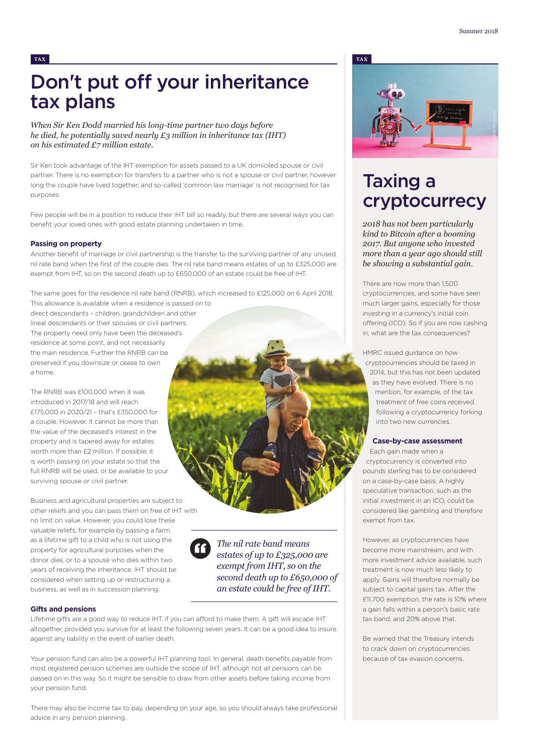### Don't put off your inheritance tax plans

*When Sir Ken Dodd married his long-time partner two days before he died, he potentially saved nearly £3 million in inheritance tax (IHT) on his estimated £7 million estate.* 

Sir Ken took advantage of the IHT exemption for assets passed to a UK domiciled spouse or civil partner. There is no exemption for transfers to a partner who is not a spouse or civil partner, however long the couple have lived together, and so-called 'common law marriage' is not recognised for tax purposes.

Few people will be in a position to reduce their IHT bill so readily, but there are several ways you can benefit your loved ones with good estate planning undertaken in time.

#### **Passing on property**

Another benefit of marriage or civil partnership is the transfer to the surviving partner of any unused nil rate band when the first of the couple dies. The nil rate band means estates of up to £325,000 are exempt from IHT, so on the second death up to £650,000 of an estate could be free of IHT.

The same goes for the residence nil rate band (RNRB), which increased to £125,000 on 6 April 2018.

This allowance is available when a residence is passed on to direct descendants – children, grandchildren and other lineal descendants or their spouses or civil partners. The property need only have been the deceased's residence at some point, and not necessarily the main residence. Further the RNRB can be preserved if you downsize or cease to own a home.

The RNRB was £100,000 when it was introduced in 2017/18 and will reach £175,000 in 2020/21 – that's £350,000 for a couple. However, it cannot be more than the value of the deceased's interest in the property and is tapered away for estates worth more than £2 million. If possible, it is worth passing on your estate so that the full RNRB will be used, or be available to your surviving spouse or civil partner.

Business and agricultural properties are subject to other reliefs and you can pass them on free of IHT with no limit on value. However, you could lose these valuable reliefs, for example by passing a farm as a lifetime gift to a child who is not using the property for agricultural purposes when the donor dies, or to a spouse who dies within two years of receiving the inheritance. IHT should be considered when setting up or restructuring a business, as well as in succession planning.

*The nil rate band means estates of up to £325,000 are exempt from IHT, so on the second death up to £650,000 of an estate could be free of IHT.*

#### **Gifts and pensions**

Lifetime gifts are a good way to reduce IHT, if you can afford to make them. A gift will escape IHT altogether, provided you survive for at least the following seven years. It can be a good idea to insure against any liability in the event of earlier death.

Your pension fund can also be a powerful IHT planning tool. In general, death benefits payable from most registered pension schemes are outside the scope of IHT, although not all pensions can be passed on in this way. So it might be sensible to draw from other assets before taking income from your pension fund.

There may also be income tax to pay, depending on your age, so you should always take professional advice in any pension planning.



### Taxing a cryptocurrecy

*2018 has not been particularly kind to Bitcoin after a booming 2017. But anyone who invested more than a year ago should still be showing a substantial gain.* 

There are now more than 1,500 cryptocurrencies, and some have seen much larger gains, especially for those investing in a currency's initial coin offering (ICO). So if you are now cashing in, what are the tax consequences?

HMRC issued guidance on how cryptocurrencies should be taxed in 2014, but this has not been updated as they have evolved. There is no mention, for example, of the tax treatment of free coins received following a cryptocurrency forking into two new currencies.

#### **Case-by-case assessment**

Each gain made when a cryptocurrency is converted into pounds sterling has to be considered on a case-by-case basis. A highly speculative transaction, such as the initial investment in an ICO, could be considered like gambling and therefore exempt from tax. Credit: iStock/freemixer

However, as cryptocurrencies have become more mainstream, and with more investment advice available, such treatment is now much less likely to apply. Gains will therefore normally be subject to capital gains tax. After the £11,700 exemption, the rate is 10% where a gain falls within a person's basic rate tax band, and 20% above that.

Be warned that the Treasury intends to crack down on cryptocurrencies because of tax evasion concerns.